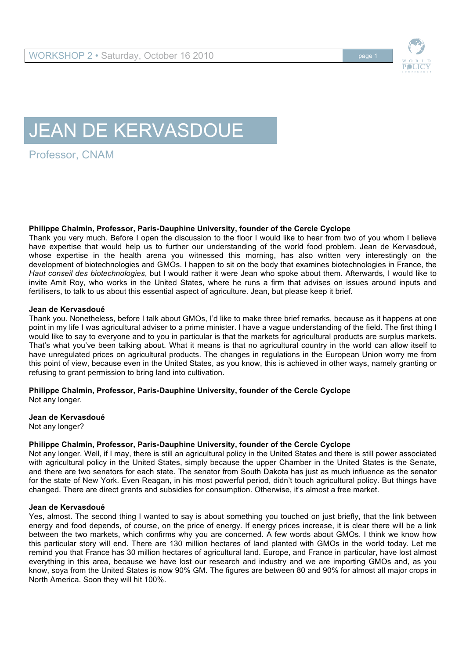

# JEAN DE KERVASDOUE

Professor, CNAM

### **Philippe Chalmin, Professor, Paris-Dauphine University, founder of the Cercle Cyclope**

Thank you very much. Before I open the discussion to the floor I would like to hear from two of you whom I believe have expertise that would help us to further our understanding of the world food problem. Jean de Kervasdoué, whose expertise in the health arena you witnessed this morning, has also written very interestingly on the development of biotechnologies and GMOs. I happen to sit on the body that examines biotechnologies in France, the *Haut conseil des biotechnologies*, but I would rather it were Jean who spoke about them. Afterwards, I would like to invite Amit Roy, who works in the United States, where he runs a firm that advises on issues around inputs and fertilisers, to talk to us about this essential aspect of agriculture. Jean, but please keep it brief.

#### **Jean de Kervasdoué**

Thank you. Nonetheless, before I talk about GMOs, I'd like to make three brief remarks, because as it happens at one point in my life I was agricultural adviser to a prime minister. I have a vague understanding of the field. The first thing I would like to say to everyone and to you in particular is that the markets for agricultural products are surplus markets. That's what you've been talking about. What it means is that no agricultural country in the world can allow itself to have unregulated prices on agricultural products. The changes in regulations in the European Union worry me from this point of view, because even in the United States, as you know, this is achieved in other ways, namely granting or refusing to grant permission to bring land into cultivation.

# **Philippe Chalmin, Professor, Paris-Dauphine University, founder of the Cercle Cyclope**

Not any longer.

**Jean de Kervasdoué**

Not any longer?

# **Philippe Chalmin, Professor, Paris-Dauphine University, founder of the Cercle Cyclope**

Not any longer. Well, if I may, there is still an agricultural policy in the United States and there is still power associated with agricultural policy in the United States, simply because the upper Chamber in the United States is the Senate, and there are two senators for each state. The senator from South Dakota has just as much influence as the senator for the state of New York. Even Reagan, in his most powerful period, didn't touch agricultural policy. But things have changed. There are direct grants and subsidies for consumption. Otherwise, it's almost a free market.

### **Jean de Kervasdoué**

Yes, almost. The second thing I wanted to say is about something you touched on just briefly, that the link between energy and food depends, of course, on the price of energy. If energy prices increase, it is clear there will be a link between the two markets, which confirms why you are concerned. A few words about GMOs. I think we know how this particular story will end. There are 130 million hectares of land planted with GMOs in the world today. Let me remind you that France has 30 million hectares of agricultural land. Europe, and France in particular, have lost almost everything in this area, because we have lost our research and industry and we are importing GMOs and, as you know, soya from the United States is now 90% GM. The figures are between 80 and 90% for almost all major crops in North America. Soon they will hit 100%.